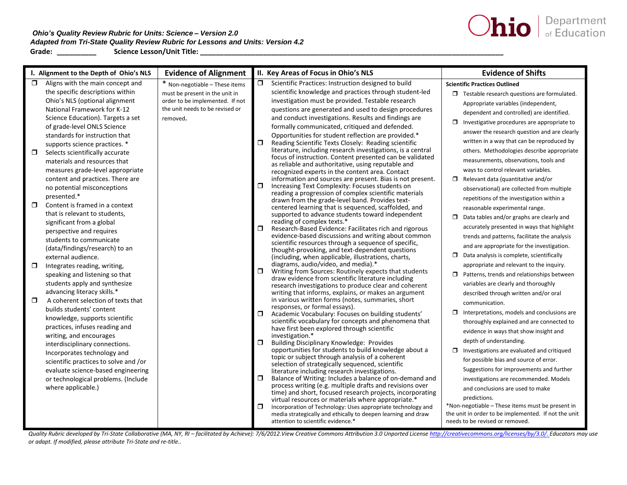## *Ohio's Quality Review Rubric for Units: Science – Version 2.0 Adapted from Tri-State Quality Review Rubric for Lessons and Units: Version 4.2*  **Grade: \_\_\_\_\_\_\_\_\_\_ Science Lesson/Unit Title: \_\_\_\_\_\_\_\_\_\_\_\_\_\_\_\_\_\_\_\_\_\_\_\_\_\_\_\_\_\_\_\_\_\_\_\_\_\_\_\_\_\_\_\_\_\_\_\_\_\_\_\_\_\_\_\_\_\_\_\_\_\_\_\_\_\_\_\_\_\_\_\_\_\_\_\_\_**



|        | I. Alignment to the Depth of Ohio's NLS | <b>Evidence of Alignment</b>    |        | II. Key Areas of Focus in Ohio's NLS                                                                                    | <b>Evidence of Shifts</b>                            |
|--------|-----------------------------------------|---------------------------------|--------|-------------------------------------------------------------------------------------------------------------------------|------------------------------------------------------|
| $\Box$ | Aligns with the main concept and        | * Non-negotiable - These items  | $\Box$ | Scientific Practices: Instruction designed to build                                                                     | <b>Scientific Practices Outlined</b>                 |
|        | the specific descriptions within        | must be present in the unit in  |        | scientific knowledge and practices through student-led                                                                  | $\Box$ Testable research questions are formulated.   |
|        | Ohio's NLS (optional alignment          | order to be implemented. If not |        | investigation must be provided. Testable research                                                                       | Appropriate variables (independent,                  |
|        | National Framework for K-12             | the unit needs to be revised or |        | questions are generated and used to design procedures                                                                   | dependent and controlled) are identified.            |
|        | Science Education). Targets a set       | removed.                        |        | and conduct investigations. Results and findings are                                                                    | $\Box$ Investigative procedures are appropriate to   |
|        | of grade-level ONLS Science             |                                 |        | formally communicated, critiqued and defended.                                                                          |                                                      |
|        | standards for instruction that          |                                 |        | Opportunities for student reflection are provided.*                                                                     | answer the research question and are clearly         |
|        | supports science practices. *           |                                 |        | Reading Scientific Texts Closely: Reading scientific                                                                    | written in a way that can be reproduced by           |
| $\Box$ | Selects scientifically accurate         |                                 |        | literature, including research investigations, is a central<br>focus of instruction. Content presented can be validated | others. Methodologies describe appropriate           |
|        | materials and resources that            |                                 |        | as reliable and authoritative, using reputable and                                                                      | measurements, observations, tools and                |
|        | measures grade-level appropriate        |                                 |        | recognized experts in the content area. Contact                                                                         | ways to control relevant variables.                  |
|        | content and practices. There are        |                                 |        | information and sources are present. Bias is not present.                                                               | $\Box$ Relevant data (quantitative and/or            |
|        | no potential misconceptions             |                                 |        | Increasing Text Complexity: Focuses students on                                                                         | observational) are collected from multiple           |
|        | presented.*                             |                                 |        | reading a progression of complex scientific materials<br>drawn from the grade-level band. Provides text-                | repetitions of the investigation within a            |
| $\Box$ | Content is framed in a context          |                                 |        | centered learning that is sequenced, scaffolded, and                                                                    | reasonable experimental range.                       |
|        | that is relevant to students,           |                                 |        | supported to advance students toward independent                                                                        | $\Box$ Data tables and/or graphs are clearly and     |
|        | significant from a global               |                                 |        | reading of complex texts.*                                                                                              | accurately presented in ways that highlight          |
|        | perspective and requires                |                                 |        | Research-Based Evidence: Facilitates rich and rigorous<br>evidence-based discussions and writing about common           | trends and patterns, facilitate the analysis         |
|        | students to communicate                 |                                 |        | scientific resources through a sequence of specific,                                                                    |                                                      |
|        | (data/findings/research) to an          |                                 |        | thought-provoking, and text-dependent questions                                                                         | and are appropriate for the investigation.           |
|        | external audience.                      |                                 |        | (including, when applicable, illustrations, charts,                                                                     | $\Box$ Data analysis is complete, scientifically     |
| $\Box$ | Integrates reading, writing,            |                                 |        | diagrams, audio/video, and media).*<br>Writing from Sources: Routinely expects that students                            | appropriate and relevant to the inquiry.             |
|        | speaking and listening so that          |                                 |        | draw evidence from scientific literature including                                                                      | $\Box$ Patterns, trends and relationships between    |
|        | students apply and synthesize           |                                 |        | research investigations to produce clear and coherent                                                                   | variables are clearly and thoroughly                 |
|        | advancing literacy skills.*             |                                 |        | writing that informs, explains, or makes an argument                                                                    | described through written and/or oral                |
| $\Box$ | A coherent selection of texts that      |                                 |        | in various written forms (notes, summaries, short                                                                       | communication.                                       |
|        | builds students' content                |                                 |        | responses, or formal essays).<br>Academic Vocabulary: Focuses on building students'                                     | $\Box$ Interpretations, models and conclusions are   |
|        | knowledge, supports scientific          |                                 |        | scientific vocabulary for concepts and phenomena that                                                                   | thoroughly explained and are connected to            |
|        | practices, infuses reading and          |                                 |        | have first been explored through scientific                                                                             | evidence in ways that show insight and               |
|        | writing, and encourages                 |                                 |        | investigation.*                                                                                                         | depth of understanding.                              |
|        | interdisciplinary connections.          |                                 | σ      | <b>Building Disciplinary Knowledge: Provides</b><br>opportunities for students to build knowledge about a               | $\Box$ Investigations are evaluated and critiqued    |
|        | Incorporates technology and             |                                 |        | topic or subject through analysis of a coherent                                                                         |                                                      |
|        | scientific practices to solve and /or   |                                 |        | selection of strategically sequenced, scientific                                                                        | for possible bias and source of error.               |
|        | evaluate science-based engineering      |                                 |        | literature including research investigations.                                                                           | Suggestions for improvements and further             |
|        | or technological problems. (Include     |                                 |        | Balance of Writing: Includes a balance of on-demand and                                                                 | investigations are recommended. Models               |
|        | where applicable.)                      |                                 |        | process writing (e.g. multiple drafts and revisions over<br>time) and short, focused research projects, incorporating   | and conclusions are used to make                     |
|        |                                         |                                 |        | virtual resources or materials where appropriate.*                                                                      | predictions.                                         |
|        |                                         |                                 |        | Incorporation of Technology: Uses appropriate technology and                                                            | *Non-negotiable – These items must be present in     |
|        |                                         |                                 |        | media strategically and ethically to deepen learning and draw                                                           | the unit in order to be implemented. If not the unit |
|        |                                         |                                 |        | attention to scientific evidence.*                                                                                      | needs to be revised or removed.                      |

Quality Rubric developed by Tri-State Collaborative (MA, NY, RI - facilitated by Achieve): 7/6/2012. View Creative Commons Attribution 3.0 Unported Licens[e http://creativecommons.org/licenses/by/3.0/](http://creativecommons.org/licenses/by/3.0/). Educators may use *or adapt. If modified, please attribute Tri-State and re-title..*